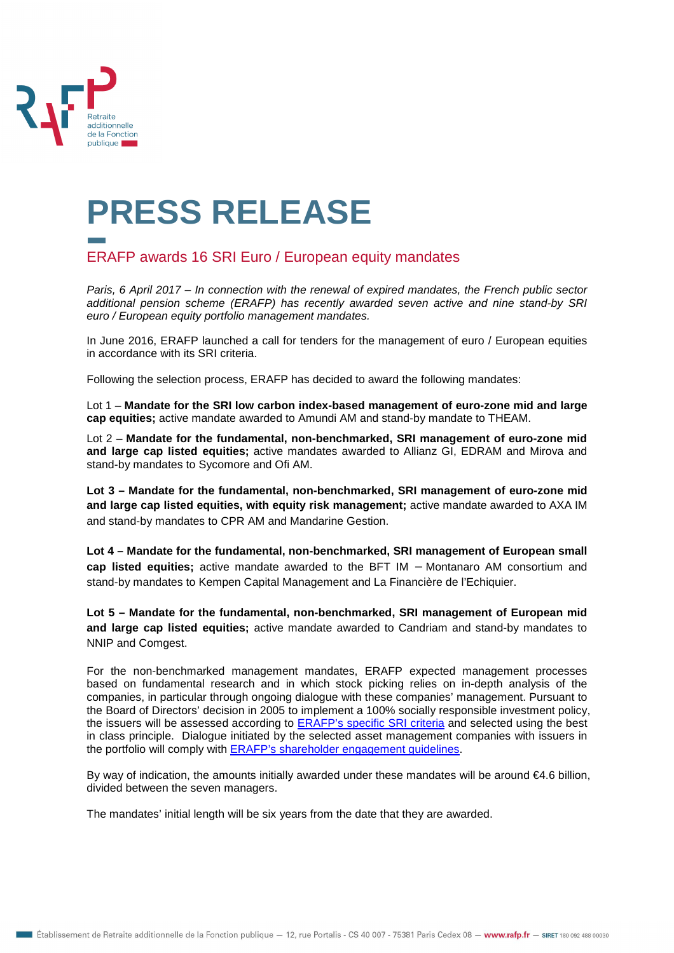

## **PRESS RELEASE**

## ERAFP awards 16 SRI Euro / European equity mandates

Paris, 6 April 2017 – In connection with the renewal of expired mandates, the French public sector additional pension scheme (ERAFP) has recently awarded seven active and nine stand-by SRI euro / European equity portfolio management mandates.

In June 2016, ERAFP launched a call for tenders for the management of euro / European equities in accordance with its SRI criteria.

Following the selection process, ERAFP has decided to award the following mandates:

Lot 1 – **Mandate for the SRI low carbon index-based management of euro-zone mid and large cap equities;** active mandate awarded to Amundi AM and stand-by mandate to THEAM.

Lot 2 – **Mandate for the fundamental, non-benchmarked, SRI management of euro-zone mid and large cap listed equities;** active mandates awarded to Allianz GI, EDRAM and Mirova and stand-by mandates to Sycomore and Ofi AM.

**Lot 3 – Mandate for the fundamental, non-benchmarked, SRI management of euro-zone mid and large cap listed equities, with equity risk management;** active mandate awarded to AXA IM and stand-by mandates to CPR AM and Mandarine Gestion.

**Lot 4 – Mandate for the fundamental, non-benchmarked, SRI management of European small cap listed equities;** active mandate awarded to the BFT IM − Montanaro AM consortium and stand-by mandates to Kempen Capital Management and La Financière de l'Echiquier.

**Lot 5 – Mandate for the fundamental, non-benchmarked, SRI management of European mid and large cap listed equities;** active mandate awarded to Candriam and stand-by mandates to NNIP and Comgest.

For the non-benchmarked management mandates, ERAFP expected management processes based on fundamental research and in which stock picking relies on in-depth analysis of the companies, in particular through ongoing dialogue with these companies' management. Pursuant to the Board of Directors' decision in 2005 to implement a 100% socially responsible investment policy, the issuers will be assessed according to **ERAFP's specific SRI criteria** and selected using the best in class principle. Dialogue initiated by the selected asset management companies with issuers in the portfolio will comply with ERAFP's shareholder engagement guidelines.

By way of indication, the amounts initially awarded under these mandates will be around €4.6 billion, divided between the seven managers.

The mandates' initial length will be six years from the date that they are awarded.